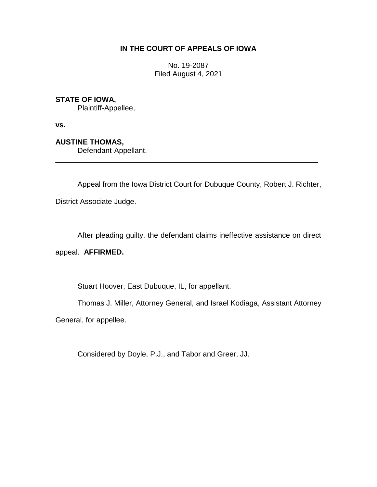## **IN THE COURT OF APPEALS OF IOWA**

No. 19-2087 Filed August 4, 2021

## **STATE OF IOWA,**

Plaintiff-Appellee,

**vs.**

## **AUSTINE THOMAS,**

Defendant-Appellant.

Appeal from the Iowa District Court for Dubuque County, Robert J. Richter,

\_\_\_\_\_\_\_\_\_\_\_\_\_\_\_\_\_\_\_\_\_\_\_\_\_\_\_\_\_\_\_\_\_\_\_\_\_\_\_\_\_\_\_\_\_\_\_\_\_\_\_\_\_\_\_\_\_\_\_\_\_\_\_\_

District Associate Judge.

After pleading guilty, the defendant claims ineffective assistance on direct

appeal. **AFFIRMED.**

Stuart Hoover, East Dubuque, IL, for appellant.

Thomas J. Miller, Attorney General, and Israel Kodiaga, Assistant Attorney

General, for appellee.

Considered by Doyle, P.J., and Tabor and Greer, JJ.